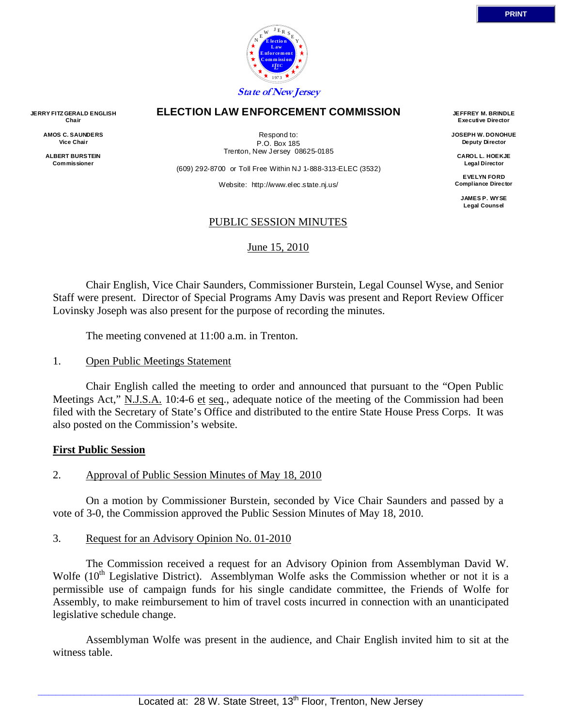

#### **ELECTION LAW ENFORCEMENT COMMISSION**

**JERRY FITZ GERALD ENGLISH Chair AMOS C. SAUNDERS Vice Chair** 

> **ALBERT BURSTEIN Commissioner**

Respond to: P.O. Box 185 Trenton, New Jersey 08625-0185

(609) 292-8700 or Toll Free Within NJ 1-888-313-ELEC (3532)

Website: http://www.elec.state.nj.us/

**JEFFREY M. BRINDLE Executive Director** 

**JOSEPH W. DONOHUE Deputy Director** 

**CAROL L. HOEKJE Legal Director** 

**EVELYN FORD Compliance Director** 

> **JAMES P. WYSE Legal Counsel**

#### PUBLIC SESSION MINUTES

#### June 15, 2010

 Chair English, Vice Chair Saunders, Commissioner Burstein, Legal Counsel Wyse, and Senior Staff were present. Director of Special Programs Amy Davis was present and Report Review Officer Lovinsky Joseph was also present for the purpose of recording the minutes.

The meeting convened at 11:00 a.m. in Trenton.

1. Open Public Meetings Statement

 Chair English called the meeting to order and announced that pursuant to the "Open Public Meetings Act," N.J.S.A. 10:4-6 et seq., adequate notice of the meeting of the Commission had been filed with the Secretary of State's Office and distributed to the entire State House Press Corps. It was also posted on the Commission's website.

#### **First Public Session**

2. Approval of Public Session Minutes of May 18, 2010

 On a motion by Commissioner Burstein, seconded by Vice Chair Saunders and passed by a vote of 3-0, the Commission approved the Public Session Minutes of May 18, 2010.

#### 3. Request for an Advisory Opinion No. 01-2010

 The Commission received a request for an Advisory Opinion from Assemblyman David W. Wolfe (10<sup>th</sup> Legislative District). Assemblyman Wolfe asks the Commission whether or not it is a permissible use of campaign funds for his single candidate committee, the Friends of Wolfe for Assembly, to make reimbursement to him of travel costs incurred in connection with an unanticipated legislative schedule change.

 Assemblyman Wolfe was present in the audience, and Chair English invited him to sit at the witness table.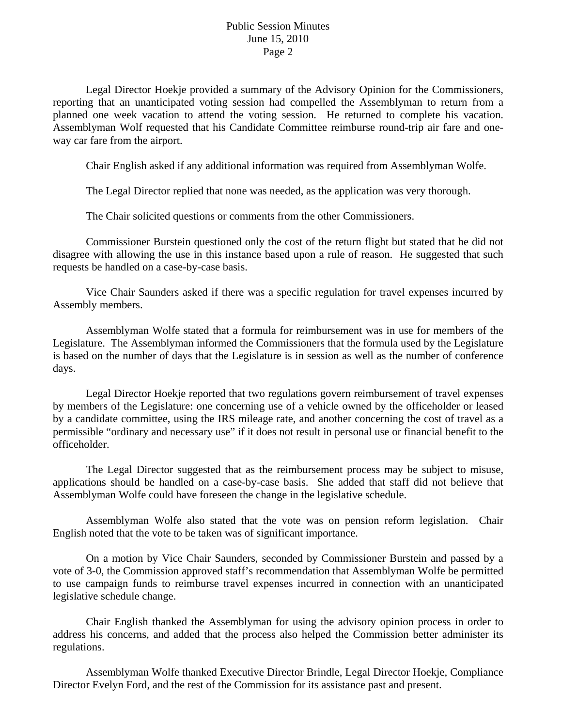Legal Director Hoekje provided a summary of the Advisory Opinion for the Commissioners, reporting that an unanticipated voting session had compelled the Assemblyman to return from a planned one week vacation to attend the voting session. He returned to complete his vacation. Assemblyman Wolf requested that his Candidate Committee reimburse round-trip air fare and oneway car fare from the airport.

Chair English asked if any additional information was required from Assemblyman Wolfe.

The Legal Director replied that none was needed, as the application was very thorough.

The Chair solicited questions or comments from the other Commissioners.

 Commissioner Burstein questioned only the cost of the return flight but stated that he did not disagree with allowing the use in this instance based upon a rule of reason. He suggested that such requests be handled on a case-by-case basis.

 Vice Chair Saunders asked if there was a specific regulation for travel expenses incurred by Assembly members.

 Assemblyman Wolfe stated that a formula for reimbursement was in use for members of the Legislature. The Assemblyman informed the Commissioners that the formula used by the Legislature is based on the number of days that the Legislature is in session as well as the number of conference days.

 Legal Director Hoekje reported that two regulations govern reimbursement of travel expenses by members of the Legislature: one concerning use of a vehicle owned by the officeholder or leased by a candidate committee, using the IRS mileage rate, and another concerning the cost of travel as a permissible "ordinary and necessary use" if it does not result in personal use or financial benefit to the officeholder.

 The Legal Director suggested that as the reimbursement process may be subject to misuse, applications should be handled on a case-by-case basis. She added that staff did not believe that Assemblyman Wolfe could have foreseen the change in the legislative schedule.

 Assemblyman Wolfe also stated that the vote was on pension reform legislation. Chair English noted that the vote to be taken was of significant importance.

 On a motion by Vice Chair Saunders, seconded by Commissioner Burstein and passed by a vote of 3-0, the Commission approved staff's recommendation that Assemblyman Wolfe be permitted to use campaign funds to reimburse travel expenses incurred in connection with an unanticipated legislative schedule change.

 Chair English thanked the Assemblyman for using the advisory opinion process in order to address his concerns, and added that the process also helped the Commission better administer its regulations.

 Assemblyman Wolfe thanked Executive Director Brindle, Legal Director Hoekje, Compliance Director Evelyn Ford, and the rest of the Commission for its assistance past and present.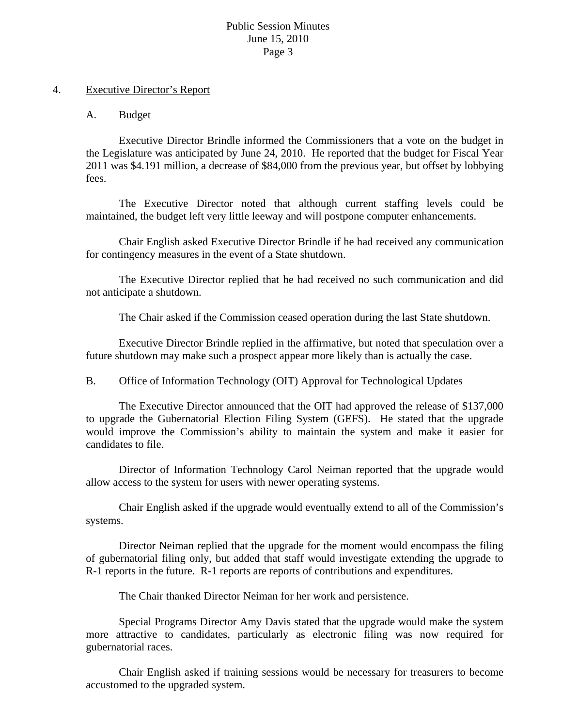#### 4. Executive Director's Report

## A. Budget

 Executive Director Brindle informed the Commissioners that a vote on the budget in the Legislature was anticipated by June 24, 2010. He reported that the budget for Fiscal Year 2011 was \$4.191 million, a decrease of \$84,000 from the previous year, but offset by lobbying fees.

 The Executive Director noted that although current staffing levels could be maintained, the budget left very little leeway and will postpone computer enhancements.

 Chair English asked Executive Director Brindle if he had received any communication for contingency measures in the event of a State shutdown.

 The Executive Director replied that he had received no such communication and did not anticipate a shutdown.

The Chair asked if the Commission ceased operation during the last State shutdown.

 Executive Director Brindle replied in the affirmative, but noted that speculation over a future shutdown may make such a prospect appear more likely than is actually the case.

## B. Office of Information Technology (OIT) Approval for Technological Updates

 The Executive Director announced that the OIT had approved the release of \$137,000 to upgrade the Gubernatorial Election Filing System (GEFS). He stated that the upgrade would improve the Commission's ability to maintain the system and make it easier for candidates to file.

 Director of Information Technology Carol Neiman reported that the upgrade would allow access to the system for users with newer operating systems.

 Chair English asked if the upgrade would eventually extend to all of the Commission's systems.

 Director Neiman replied that the upgrade for the moment would encompass the filing of gubernatorial filing only, but added that staff would investigate extending the upgrade to R-1 reports in the future. R-1 reports are reports of contributions and expenditures.

The Chair thanked Director Neiman for her work and persistence.

 Special Programs Director Amy Davis stated that the upgrade would make the system more attractive to candidates, particularly as electronic filing was now required for gubernatorial races.

 Chair English asked if training sessions would be necessary for treasurers to become accustomed to the upgraded system.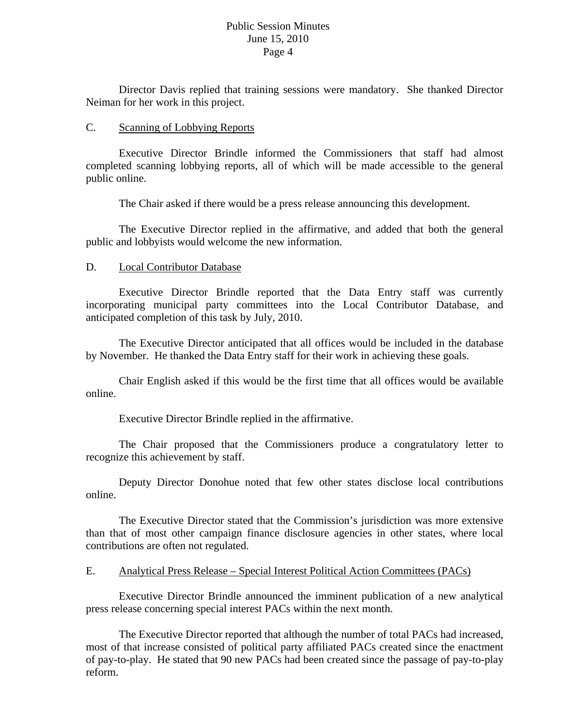Director Davis replied that training sessions were mandatory. She thanked Director Neiman for her work in this project.

#### C. Scanning of Lobbying Reports

 Executive Director Brindle informed the Commissioners that staff had almost completed scanning lobbying reports, all of which will be made accessible to the general public online.

The Chair asked if there would be a press release announcing this development.

 The Executive Director replied in the affirmative, and added that both the general public and lobbyists would welcome the new information.

#### D. Local Contributor Database

 Executive Director Brindle reported that the Data Entry staff was currently incorporating municipal party committees into the Local Contributor Database, and anticipated completion of this task by July, 2010.

 The Executive Director anticipated that all offices would be included in the database by November. He thanked the Data Entry staff for their work in achieving these goals.

 Chair English asked if this would be the first time that all offices would be available online.

Executive Director Brindle replied in the affirmative.

 The Chair proposed that the Commissioners produce a congratulatory letter to recognize this achievement by staff.

 Deputy Director Donohue noted that few other states disclose local contributions online.

 The Executive Director stated that the Commission's jurisdiction was more extensive than that of most other campaign finance disclosure agencies in other states, where local contributions are often not regulated.

## E. Analytical Press Release – Special Interest Political Action Committees (PACs)

 Executive Director Brindle announced the imminent publication of a new analytical press release concerning special interest PACs within the next month.

 The Executive Director reported that although the number of total PACs had increased, most of that increase consisted of political party affiliated PACs created since the enactment of pay-to-play. He stated that 90 new PACs had been created since the passage of pay-to-play reform.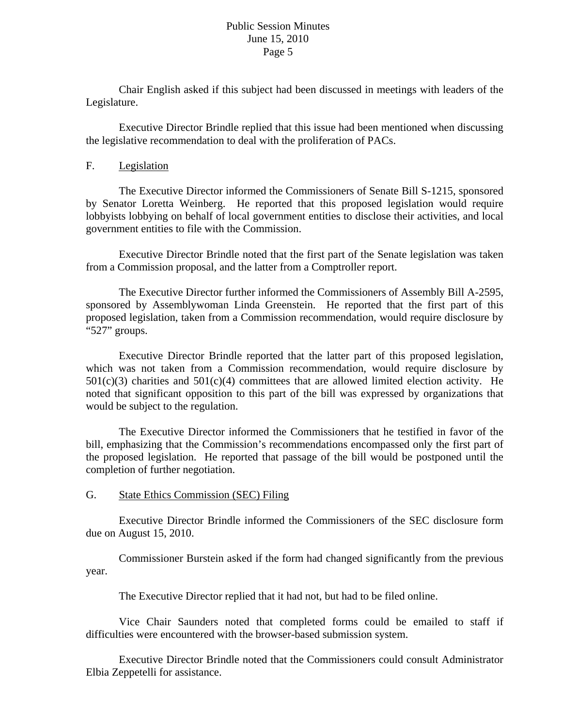Chair English asked if this subject had been discussed in meetings with leaders of the Legislature.

 Executive Director Brindle replied that this issue had been mentioned when discussing the legislative recommendation to deal with the proliferation of PACs.

#### F. Legislation

 The Executive Director informed the Commissioners of Senate Bill S-1215, sponsored by Senator Loretta Weinberg. He reported that this proposed legislation would require lobbyists lobbying on behalf of local government entities to disclose their activities, and local government entities to file with the Commission.

 Executive Director Brindle noted that the first part of the Senate legislation was taken from a Commission proposal, and the latter from a Comptroller report.

 The Executive Director further informed the Commissioners of Assembly Bill A-2595, sponsored by Assemblywoman Linda Greenstein. He reported that the first part of this proposed legislation, taken from a Commission recommendation, would require disclosure by "527" groups.

 Executive Director Brindle reported that the latter part of this proposed legislation, which was not taken from a Commission recommendation, would require disclosure by  $501(c)(3)$  charities and  $501(c)(4)$  committees that are allowed limited election activity. He noted that significant opposition to this part of the bill was expressed by organizations that would be subject to the regulation.

 The Executive Director informed the Commissioners that he testified in favor of the bill, emphasizing that the Commission's recommendations encompassed only the first part of the proposed legislation. He reported that passage of the bill would be postponed until the completion of further negotiation.

#### G. State Ethics Commission (SEC) Filing

 Executive Director Brindle informed the Commissioners of the SEC disclosure form due on August 15, 2010.

 Commissioner Burstein asked if the form had changed significantly from the previous year.

The Executive Director replied that it had not, but had to be filed online.

 Vice Chair Saunders noted that completed forms could be emailed to staff if difficulties were encountered with the browser-based submission system.

 Executive Director Brindle noted that the Commissioners could consult Administrator Elbia Zeppetelli for assistance.